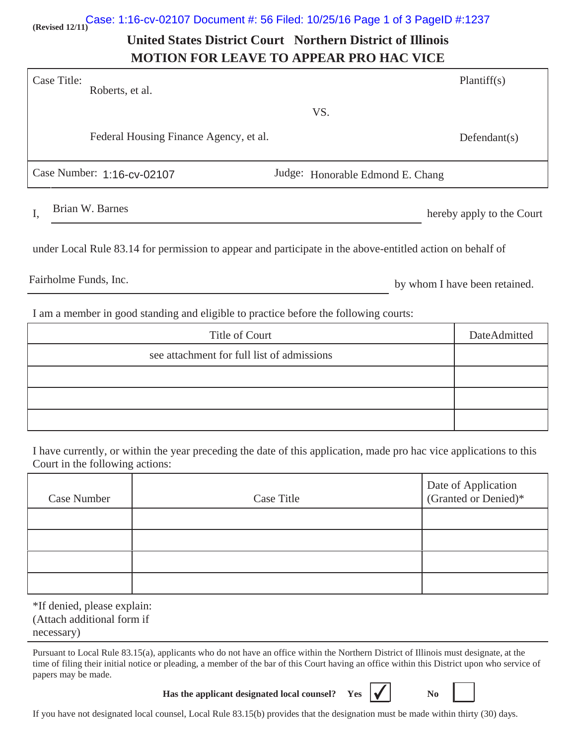# **(Revised 12/11)** Case: 1:16-cv-02107 Document #: 56 Filed: 10/25/16 Page 1 of 3 PageID #:1237

## **United States District Court Northern District of Illinois MOTION FOR LEAVE TO APPEAR PRO HAC VICE**

| Case Title:<br>Roberts, et al.         |                                  | Plantiff(s)               |
|----------------------------------------|----------------------------------|---------------------------|
|                                        | VS.                              |                           |
| Federal Housing Finance Agency, et al. |                                  | Defendant(s)              |
| Case Number: 1:16-cv-02107             | Judge: Honorable Edmond E. Chang |                           |
| Brian W. Barnes<br>I,                  |                                  | hereby apply to the Court |

under Local Rule 83.14 for permission to appear and participate in the above-entitled action on behalf of

Fairholme Funds, Inc.

by whom I have been retained.

I am a member in good standing and eligible to practice before the following courts:

| Title of Court                             | DateAdmitted |
|--------------------------------------------|--------------|
| see attachment for full list of admissions |              |
|                                            |              |
|                                            |              |
|                                            |              |

I have currently, or within the year preceding the date of this application, made pro hac vice applications to this Court in the following actions:

| Case Number | <b>Case Title</b> | Date of Application<br>(Granted or Denied)* |
|-------------|-------------------|---------------------------------------------|
|             |                   |                                             |
|             |                   |                                             |
|             |                   |                                             |
|             |                   |                                             |

\*If denied, please explain: (Attach additional form if necessary)

Pursuant to Local Rule 83.15(a), applicants who do not have an office within the Northern District of Illinois must designate, at the time of filing their initial notice or pleading, a member of the bar of this Court having an office within this District upon who service of papers may be made.

**Has the applicant designated local counsel?** Yes  $\mathbf{\vert} \mathbf{\checkmark}$   $\mathbf{\vert} \mathbf{\checkmark}$  No



If you have not designated local counsel, Local Rule 83.15(b) provides that the designation must be made within thirty (30) days.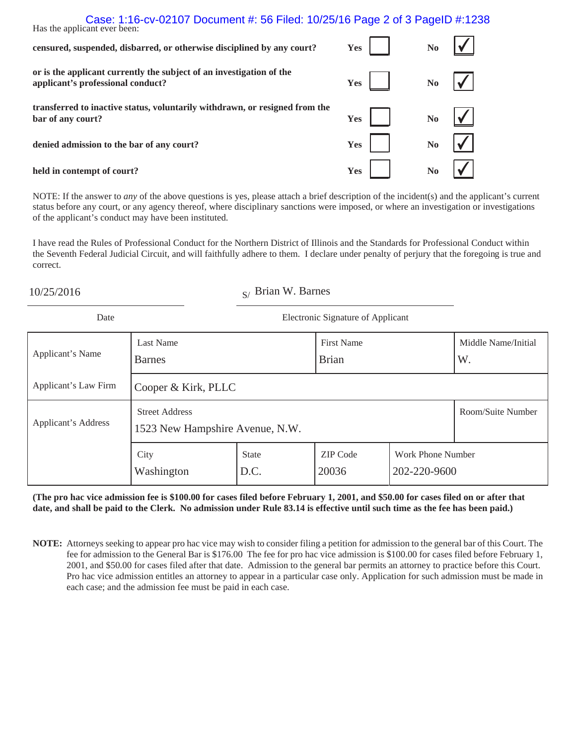### Has the applic Case: 1:16-cv-02107 Document #: 56 Filed: 10/25/16 Page 2 of 3 PageID #:1238

| Thas the applicant ever been.                                                                             |     |                        |
|-----------------------------------------------------------------------------------------------------------|-----|------------------------|
| censured, suspended, disbarred, or otherwise disciplined by any court?                                    | Yes | $\mathbf{N}\mathbf{o}$ |
| or is the applicant currently the subject of an investigation of the<br>applicant's professional conduct? | Yes | $\bf{No}$              |
| transferred to inactive status, voluntarily withdrawn, or resigned from the<br>bar of any court?          | Yes | $\bf No$               |
| denied admission to the bar of any court?                                                                 | Yes | N <sub>0</sub>         |
| held in contempt of court?                                                                                | Yes | N <sub>0</sub>         |

NOTE: If the answer to *any* of the above questions is yes, please attach a brief description of the incident(s) and the applicant's current status before any court, or any agency thereof, where disciplinary sanctions were imposed, or where an investigation or investigations of the applicant's conduct may have been instituted.

I have read the Rules of Professional Conduct for the Northern District of Illinois and the Standards for Professional Conduct within the Seventh Federal Judicial Circuit, and will faithfully adhere to them. I declare under penalty of perjury that the foregoing is true and correct.

 $10/25/2016$  S/ Brian W. Barnes

| Date                       | Electronic Signature of Applicant                        |                      |                                   |                                   |                           |
|----------------------------|----------------------------------------------------------|----------------------|-----------------------------------|-----------------------------------|---------------------------|
| Applicant's Name           | <b>Last Name</b><br><b>Barnes</b>                        |                      | <b>First Name</b><br><b>Brian</b> |                                   | Middle Name/Initial<br>W. |
| Applicant's Law Firm       | Cooper & Kirk, PLLC                                      |                      |                                   |                                   |                           |
| <b>Applicant's Address</b> | <b>Street Address</b><br>1523 New Hampshire Avenue, N.W. |                      |                                   | Room/Suite Number                 |                           |
|                            | City<br>Washington                                       | <b>State</b><br>D.C. | <b>ZIP</b> Code<br>20036          | Work Phone Number<br>202-220-9600 |                           |

**(The pro hac vice admission fee is \$100.00 for cases filed before February 1, 2001, and \$50.00 for cases filed on or after that date, and shall be paid to the Clerk. No admission under Rule 83.14 is effective until such time as the fee has been paid.)**

**NOTE:** Attorneys seeking to appear pro hac vice may wish to consider filing a petition for admission to the general bar of this Court. The fee for admission to the General Bar is \$176.00 The fee for pro hac vice admission is \$100.00 for cases filed before February 1, 2001, and \$50.00 for cases filed after that date. Admission to the general bar permits an attorney to practice before this Court. Pro hac vice admission entitles an attorney to appear in a particular case only. Application for such admission must be made in each case; and the admission fee must be paid in each case.